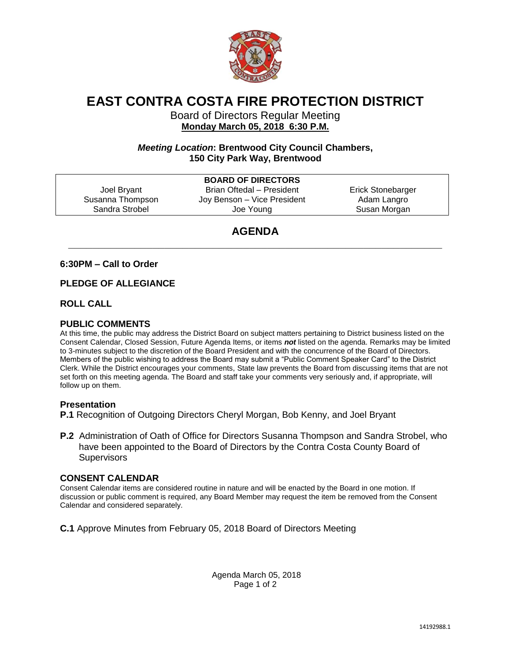

# **EAST CONTRA COSTA FIRE PROTECTION DISTRICT**

Board of Directors Regular Meeting **Monday March 05, 2018 6:30 P.M.** 

# *Meeting Location***: Brentwood City Council Chambers, 150 City Park Way, Brentwood**

|                  | <b>BOARD OF DIRECTORS</b>   |                   |
|------------------|-----------------------------|-------------------|
| Joel Bryant      | Brian Oftedal - President   | Erick Stonebarger |
| Susanna Thompson | Joy Benson - Vice President | Adam Langro       |
| Sandra Strobel   | Joe Young                   | Susan Morgan      |
|                  |                             |                   |

# **AGENDA \_\_\_\_\_\_\_\_\_\_\_\_\_\_\_\_\_\_\_\_\_\_\_\_\_\_\_\_\_\_\_\_\_\_\_\_\_\_\_\_\_\_\_\_\_\_\_\_\_\_\_\_\_\_\_\_\_\_\_\_\_\_**

# **6:30PM – Call to Order**

### **PLEDGE OF ALLEGIANCE**

### **ROLL CALL**

# **PUBLIC COMMENTS**

At this time, the public may address the District Board on subject matters pertaining to District business listed on the Consent Calendar, Closed Session, Future Agenda Items, or items *not* listed on the agenda. Remarks may be limited to 3-minutes subject to the discretion of the Board President and with the concurrence of the Board of Directors. Members of the public wishing to address the Board may submit a "Public Comment Speaker Card" to the District Clerk. While the District encourages your comments, State law prevents the Board from discussing items that are not set forth on this meeting agenda. The Board and staff take your comments very seriously and, if appropriate, will follow up on them.

#### **Presentation**

**P.1** Recognition of Outgoing Directors Cheryl Morgan, Bob Kenny, and Joel Bryant

**P.2** Administration of Oath of Office for Directors Susanna Thompson and Sandra Strobel, who have been appointed to the Board of Directors by the Contra Costa County Board of **Supervisors** 

#### **CONSENT CALENDAR**

Consent Calendar items are considered routine in nature and will be enacted by the Board in one motion. If discussion or public comment is required, any Board Member may request the item be removed from the Consent Calendar and considered separately.

**C.1** Approve Minutes from February 05, 2018 Board of Directors Meeting

Agenda March 05, 2018 Page 1 of 2